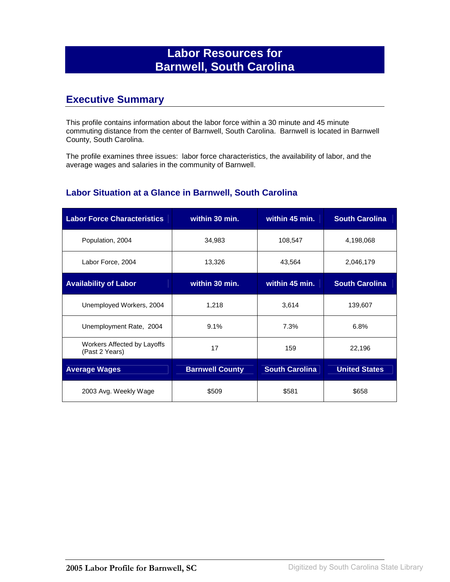# **Labor Resources for Barnwell, South Carolina**

## **Executive Summary**

This profile contains information about the labor force within a 30 minute and 45 minute commuting distance from the center of Barnwell, South Carolina. Barnwell is located in Barnwell County, South Carolina.

The profile examines three issues: labor force characteristics, the availability of labor, and the average wages and salaries in the community of Barnwell.

#### **Labor Situation at a Glance in Barnwell, South Carolina**

| <b>Labor Force Characteristics</b>            | within 30 min.         | within 45 min.        | <b>South Carolina</b> |
|-----------------------------------------------|------------------------|-----------------------|-----------------------|
| Population, 2004                              | 34,983                 | 108,547               | 4,198,068             |
| Labor Force, 2004                             | 13,326                 | 43,564                | 2,046,179             |
| <b>Availability of Labor</b>                  | within 30 min.         | within 45 min.        | <b>South Carolina</b> |
| Unemployed Workers, 2004                      | 1,218                  | 3,614                 | 139,607               |
| Unemployment Rate, 2004                       | 9.1%                   | 7.3%                  | 6.8%                  |
| Workers Affected by Layoffs<br>(Past 2 Years) | 17                     | 159                   | 22,196                |
| <b>Average Wages</b>                          | <b>Barnwell County</b> | <b>South Carolina</b> | <b>United States</b>  |
| 2003 Avg. Weekly Wage                         | \$509                  | \$581                 | \$658                 |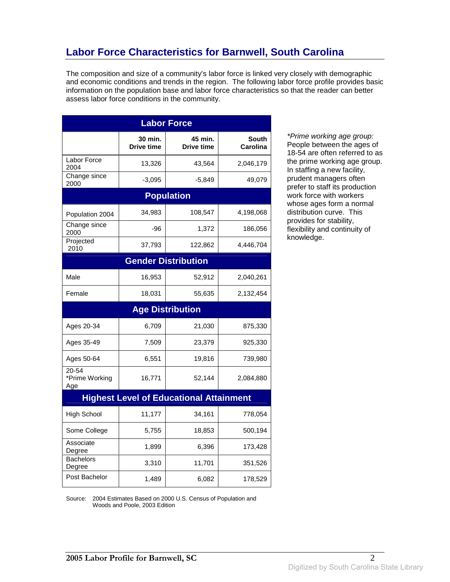# **Labor Force Characteristics for Barnwell, South Carolina**

The composition and size of a community's labor force is linked very closely with demographic and economic conditions and trends in the region. The following labor force profile provides basic information on the population base and labor force characteristics so that the reader can better assess labor force conditions in the community.

| <b>Labor Force</b>             |                              |                                                |                          |
|--------------------------------|------------------------------|------------------------------------------------|--------------------------|
|                                | 30 min.<br><b>Drive time</b> | 45 min.<br><b>Drive time</b>                   | <b>South</b><br>Carolina |
| Labor Force<br>2004            | 13,326                       | 43,564                                         | 2,046,179                |
| Change since<br>2000           | $-3,095$                     | $-5,849$                                       | 49,079                   |
|                                |                              | <b>Population</b>                              |                          |
| Population 2004                | 34,983                       | 108,547                                        | 4,198,068                |
| Change since<br>2000           | -96                          | 1,372                                          | 186,056                  |
| Projected<br>2010              | 37,793                       | 122,862                                        | 4,446,704                |
|                                |                              | <b>Gender Distribution</b>                     |                          |
| Male                           | 16,953                       | 52,912                                         | 2,040,261                |
| Female                         | 18,031                       | 55,635                                         | 2,132,454                |
|                                |                              | <b>Age Distribution</b>                        |                          |
| Ages 20-34                     | 6,709                        | 21,030                                         | 875,330                  |
| Ages 35-49                     | 7,509                        | 23,379                                         | 925,330                  |
| Ages 50-64                     | 6,551                        |                                                |                          |
|                                |                              | 19,816                                         | 739,980                  |
| 20-54<br>*Prime Working<br>Age | 16,771                       | 52,144                                         | 2,084,880                |
|                                |                              | <b>Highest Level of Educational Attainment</b> |                          |
| <b>High School</b>             | 11,177                       | 34,161                                         | 778,054                  |
| Some College                   | 5,755                        | 18,853                                         | 500,194                  |
| Associate<br>Degree            | 1,899                        | 6,396                                          | 173,428                  |
| <b>Bachelors</b><br>Degree     | 3,310                        | 11,701                                         | 351,526                  |

\*Prime working age group: People between the ages of 18-54 are often referred to as the prime working age group. In staffing a new facility, prudent managers often prefer to staff its production work force with workers whose ages form a normal distribution curve. This provides for stability, flexibility and continuity of knowledge.

Source: 2004 Estimates Based on 2000 U.S. Census of Population and Woods and Poole, 2003 Edition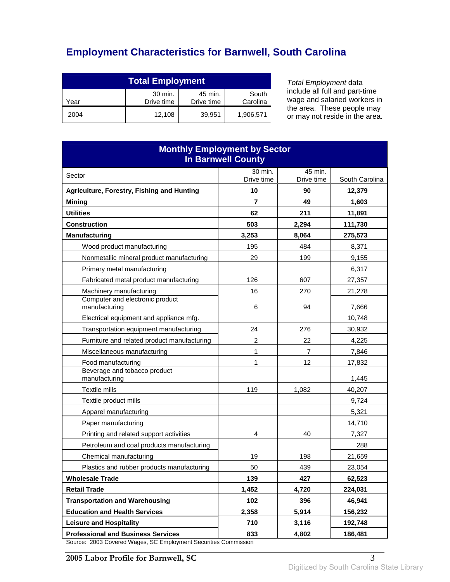# **Employment Characteristics for Barnwell, South Carolina**

| <b>Total Employment</b> |                       |                       |                   |
|-------------------------|-----------------------|-----------------------|-------------------|
| Year                    | 30 min.<br>Drive time | 45 min.<br>Drive time | South<br>Carolina |
| 2004                    | 12,108                | 39.951                | 1,906,571         |

Total Employment data include all full and part-time wage and salaried workers in the area. These people may or may not reside in the area.

| <b>Monthly Employment by Sector</b><br><b>In Barnwell County</b>                                     |            |                |                |
|------------------------------------------------------------------------------------------------------|------------|----------------|----------------|
| Sector                                                                                               | 30 min.    | 45 min.        |                |
|                                                                                                      | Drive time | Drive time     | South Carolina |
| Agriculture, Forestry, Fishing and Hunting                                                           | 10         | 90             | 12,379         |
| <b>Mining</b>                                                                                        | 7          | 49             | 1,603          |
| <b>Utilities</b>                                                                                     | 62         | 211            | 11,891         |
| <b>Construction</b>                                                                                  | 503        | 2,294          | 111,730        |
| <b>Manufacturing</b>                                                                                 | 3,253      | 8,064          | 275,573        |
| Wood product manufacturing                                                                           | 195        | 484            | 8,371          |
| Nonmetallic mineral product manufacturing                                                            | 29         | 199            | 9,155          |
| Primary metal manufacturing                                                                          |            |                | 6,317          |
| Fabricated metal product manufacturing                                                               | 126        | 607            | 27,357         |
| Machinery manufacturing                                                                              | 16         | 270            | 21,278         |
| Computer and electronic product<br>manufacturing                                                     | 6          | 94             | 7,666          |
| Electrical equipment and appliance mfg.                                                              |            |                | 10,748         |
| Transportation equipment manufacturing                                                               | 24         | 276            | 30,932         |
| Furniture and related product manufacturing                                                          | 2          | 22             | 4,225          |
| Miscellaneous manufacturing                                                                          | 1          | $\overline{7}$ | 7,846          |
| Food manufacturing                                                                                   | 1          | 12             | 17,832         |
| Beverage and tobacco product<br>manufacturing                                                        |            |                | 1,445          |
| Textile mills                                                                                        | 119        | 1,082          | 40,207         |
| Textile product mills                                                                                |            |                | 9,724          |
| Apparel manufacturing                                                                                |            |                | 5,321          |
| Paper manufacturing                                                                                  |            |                | 14,710         |
| Printing and related support activities                                                              | 4          | 40             | 7,327          |
| Petroleum and coal products manufacturing                                                            |            |                | 288            |
| Chemical manufacturing                                                                               | 19         | 198            | 21,659         |
| Plastics and rubber products manufacturing                                                           | 50         | 439            | 23,054         |
| <b>Wholesale Trade</b>                                                                               | 139        | 427            | 62,523         |
| <b>Retail Trade</b>                                                                                  | 1,452      | 4,720          | 224,031        |
| <b>Transportation and Warehousing</b>                                                                | 102        | 396            | 46,941         |
| <b>Education and Health Services</b>                                                                 | 2,358      | 5,914          | 156,232        |
| <b>Leisure and Hospitality</b>                                                                       | 710        | 3,116          | 192,748        |
| <b>Professional and Business Services</b><br>2003 Covered Wages, SC Employment Securities Commission | 833        | 4,802          | 186,481        |

Source: 2003 Covered Wages, SC Employment Securities Commission

**2005 Labor Profile for Barnwell, SC** 3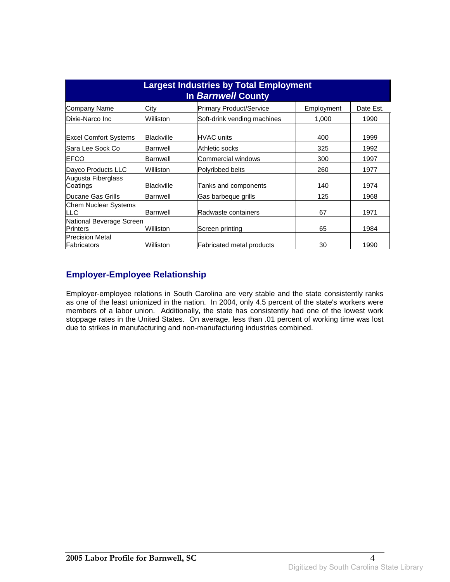| <b>Largest Industries by Total Employment</b><br><b>In Barnwell County</b> |            |                                  |            |           |
|----------------------------------------------------------------------------|------------|----------------------------------|------------|-----------|
| Company Name                                                               | City       | Primary Product/Service          | Employment | Date Est. |
| Dixie-Narco Inc                                                            | Williston  | Soft-drink vending machines      | 1,000      | 1990      |
| <b>Excel Comfort Systems</b>                                               | Blackville | IHVAC units                      | 400        | 1999      |
| lSara Lee Sock Co                                                          | Barnwell   | Athletic socks                   | 325        | 1992      |
| <b>EFCO</b>                                                                | Barnwell   | Commercial windows               | 300        | 1997      |
| Dayco Products LLC                                                         | Williston  | Polyribbed belts                 | 260        | 1977      |
| Augusta Fiberglass<br>Coatings                                             | Blackville | Tanks and components             | 140        | 1974      |
| <b>IDucane Gas Grills</b>                                                  | Barnwell   | Gas barbeque grills              | 125        | 1968      |
| <b>Chem Nuclear Systems</b><br><b>LLC</b>                                  | Barnwell   | Radwaste containers              | 67         | 1971      |
| National Beverage Screen<br><b>Printers</b>                                | Williston  | Screen printing                  | 65         | 1984      |
| <b>Precision Metal</b><br>Fabricators                                      | Williston  | <b>Fabricated metal products</b> | 30         | 1990      |

## **Employer-Employee Relationship**

Employer-employee relations in South Carolina are very stable and the state consistently ranks as one of the least unionized in the nation. In 2004, only 4.5 percent of the state's workers were members of a labor union. Additionally, the state has consistently had one of the lowest work stoppage rates in the United States. On average, less than .01 percent of working time was lost due to strikes in manufacturing and non-manufacturing industries combined.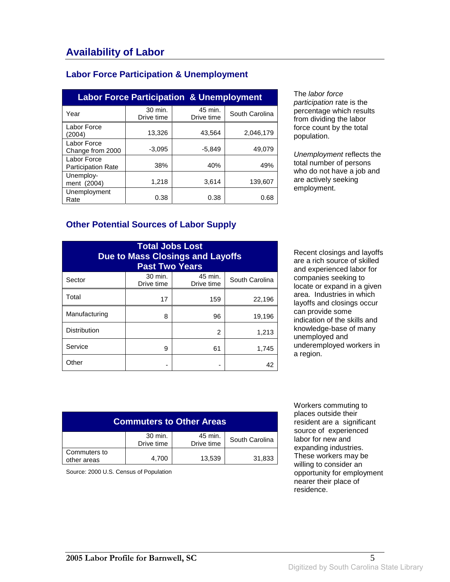### **Labor Force Participation & Unemployment**

| <b>Labor Force Participation &amp; Unemployment</b> |                       |                       |                |  |
|-----------------------------------------------------|-----------------------|-----------------------|----------------|--|
| Year                                                | 30 min.<br>Drive time | 45 min.<br>Drive time | South Carolina |  |
| Labor Force<br>(2004)                               | 13,326                | 43.564                | 2,046,179      |  |
| Labor Force<br>Change from 2000                     | $-3,095$              | $-5,849$              | 49,079         |  |
| Labor Force<br><b>Participation Rate</b>            | 38%                   | 40%                   | 49%            |  |
| Unemploy-<br>ment (2004)                            | 1,218                 | 3,614                 | 139.607        |  |
| Unemployment<br>Rate                                | 0.38                  | 0.38                  | 0.68           |  |

The labor force participation rate is the percentage which results from dividing the labor force count by the total population.

Unemployment reflects the total number of persons who do not have a job and are actively seeking employment.

#### **Other Potential Sources of Labor Supply**

| <b>Total Jobs Lost</b><br><b>Due to Mass Closings and Layoffs</b><br><b>Past Two Years</b> |                       |                       |                |
|--------------------------------------------------------------------------------------------|-----------------------|-----------------------|----------------|
| Sector                                                                                     | 30 min.<br>Drive time | 45 min.<br>Drive time | South Carolina |
| Total                                                                                      | 17                    | 159                   | 22,196         |
| Manufacturing                                                                              | 8                     | 96                    | 19,196         |
| <b>Distribution</b>                                                                        |                       | 2                     | 1,213          |
| Service                                                                                    | 9                     | 61                    | 1,745          |
| Other                                                                                      |                       |                       | 42             |

Recent closings and layoffs are a rich source of skilled and experienced labor for companies seeking to locate or expand in a given area. Industries in which layoffs and closings occur can provide some indication of the skills and knowledge-base of many unemployed and underemployed workers in a region.

| <b>Commuters to Other Areas</b>                                  |       |        |        |  |
|------------------------------------------------------------------|-------|--------|--------|--|
| 30 min.<br>45 min.<br>South Carolina<br>Drive time<br>Drive time |       |        |        |  |
| Commuters to<br>other areas                                      | 4,700 | 13,539 | 31,833 |  |

Source: 2000 U.S. Census of Population

 Workers commuting to places outside their resident are a significant source of experienced labor for new and expanding industries. These workers may be willing to consider an opportunity for employment nearer their place of residence.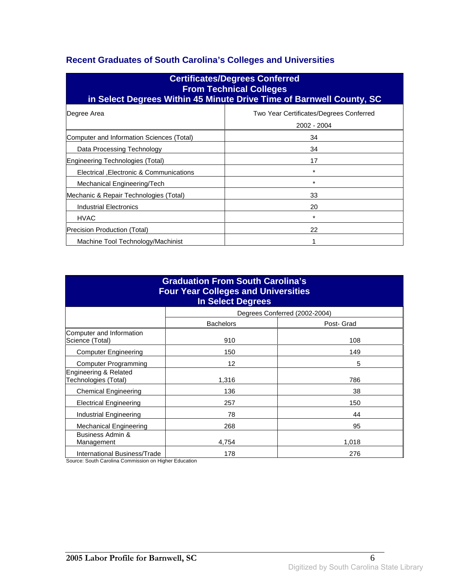## **Recent Graduates of South Carolina's Colleges and Universities**

| <b>Certificates/Degrees Conferred</b><br><b>From Technical Colleges</b><br>in Select Degrees Within 45 Minute Drive Time of Barnwell County, SC |                                                        |  |  |
|-------------------------------------------------------------------------------------------------------------------------------------------------|--------------------------------------------------------|--|--|
| Degree Area                                                                                                                                     | Two Year Certificates/Degrees Conferred<br>2002 - 2004 |  |  |
| Computer and Information Sciences (Total)                                                                                                       | 34                                                     |  |  |
| Data Processing Technology                                                                                                                      | 34                                                     |  |  |
| Engineering Technologies (Total)                                                                                                                | 17                                                     |  |  |
| Electrical , Electronic & Communications                                                                                                        | $\star$                                                |  |  |
| Mechanical Engineering/Tech                                                                                                                     | $\star$                                                |  |  |
| Mechanic & Repair Technologies (Total)                                                                                                          | 33                                                     |  |  |
| Industrial Electronics                                                                                                                          | 20                                                     |  |  |
| <b>HVAC</b>                                                                                                                                     | *                                                      |  |  |
| Precision Production (Total)                                                                                                                    | 22                                                     |  |  |
| Machine Tool Technology/Machinist                                                                                                               |                                                        |  |  |

| <b>Graduation From South Carolina's</b><br><b>Four Year Colleges and Universities</b><br><b>In Select Degrees</b> |                   |                               |  |
|-------------------------------------------------------------------------------------------------------------------|-------------------|-------------------------------|--|
|                                                                                                                   |                   | Degrees Conferred (2002-2004) |  |
|                                                                                                                   | <b>Bachelors</b>  | Post- Grad                    |  |
| Computer and Information<br>Science (Total)                                                                       | 910               | 108                           |  |
| <b>Computer Engineering</b>                                                                                       | 150               | 149                           |  |
| Computer Programming                                                                                              | $12 \overline{ }$ | 5                             |  |
| Engineering & Related<br>Technologies (Total)                                                                     | 1,316             | 786                           |  |
| <b>Chemical Engineering</b>                                                                                       | 136               | 38                            |  |
| <b>Electrical Engineering</b>                                                                                     | 257               | 150                           |  |
| Industrial Engineering                                                                                            | 78                | 44                            |  |
| Mechanical Engineering                                                                                            | 268               | 95                            |  |
| Business Admin &<br>Management                                                                                    | 4,754             | 1,018                         |  |
| International Business/Trade                                                                                      | 178               | 276                           |  |

Source: South Carolina Commission on Higher Education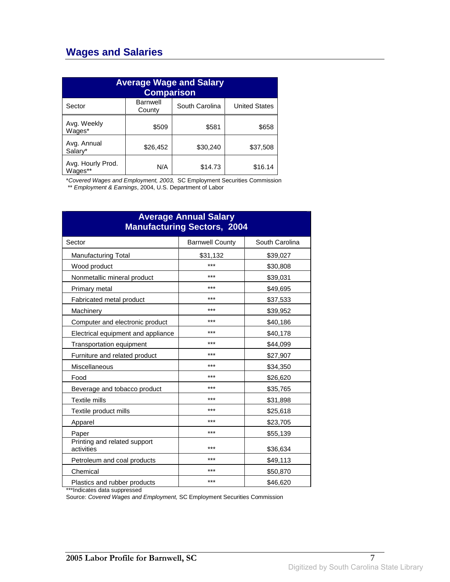## **Wages and Salaries**

| <b>Average Wage and Salary</b><br><b>Comparison</b> |                           |                |                      |
|-----------------------------------------------------|---------------------------|----------------|----------------------|
| Sector                                              | <b>Barnwell</b><br>County | South Carolina | <b>United States</b> |
| Avg. Weekly<br>Wages*                               | \$509                     | \$581          | \$658                |
| Avg. Annual<br>Salary*                              | \$26,452                  | \$30,240       | \$37,508             |
| Avg. Hourly Prod.<br>Wages**                        | N/A                       | \$14.73        | \$16.14              |

\*Covered Wages and Employment, 2003, SC Employment Securities Commission

\*\* Employment & Earnings, 2004, U.S. Department of Labor

| <b>Average Annual Salary</b><br><b>Manufacturing Sectors, 2004</b> |                        |                |  |
|--------------------------------------------------------------------|------------------------|----------------|--|
| Sector                                                             | <b>Barnwell County</b> | South Carolina |  |
| <b>Manufacturing Total</b>                                         | \$31,132               | \$39,027       |  |
| Wood product                                                       | ***                    | \$30,808       |  |
| Nonmetallic mineral product                                        | ***                    | \$39,031       |  |
| Primary metal                                                      | ***                    | \$49,695       |  |
| Fabricated metal product                                           | ***                    | \$37,533       |  |
| Machinery                                                          | ***                    | \$39,952       |  |
| Computer and electronic product                                    | ***                    | \$40,186       |  |
| Electrical equipment and appliance                                 | ***                    | \$40,178       |  |
| Transportation equipment                                           | ***                    | \$44,099       |  |
| Furniture and related product                                      | ***                    | \$27,907       |  |
| Miscellaneous                                                      | ***                    | \$34,350       |  |
| Food                                                               | ***                    | \$26,620       |  |
| Beverage and tobacco product                                       | ***                    | \$35,765       |  |
| <b>Textile mills</b>                                               | ***                    | \$31,898       |  |
| Textile product mills                                              | ***                    | \$25,618       |  |
| Apparel                                                            | ***                    | \$23,705       |  |
| Paper                                                              | ***                    | \$55,139       |  |
| Printing and related support<br>activities                         | ***                    | \$36,634       |  |
| Petroleum and coal products                                        | ***                    | \$49,113       |  |
| Chemical                                                           | ***                    | \$50,870       |  |
| Plastics and rubber products                                       | ***                    | \$46,620       |  |

\*\*\*Indicates data suppressed

Source: Covered Wages and Employment, SC Employment Securities Commission